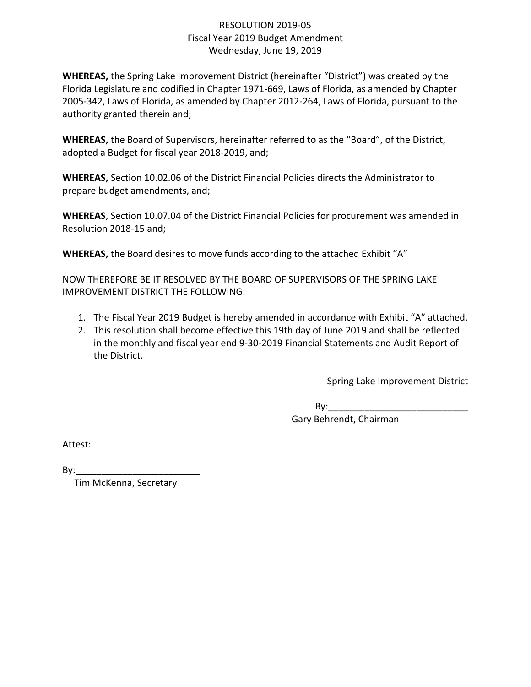## RESOLUTION 2019-05 Fiscal Year 2019 Budget Amendment Wednesday, June 19, 2019

**WHEREAS,** the Spring Lake Improvement District (hereinafter "District") was created by the Florida Legislature and codified in Chapter 1971-669, Laws of Florida, as amended by Chapter 2005-342, Laws of Florida, as amended by Chapter 2012-264, Laws of Florida, pursuant to the authority granted therein and;

**WHEREAS,** the Board of Supervisors, hereinafter referred to as the "Board", of the District, adopted a Budget for fiscal year 2018-2019, and;

**WHEREAS,** Section 10.02.06 of the District Financial Policies directs the Administrator to prepare budget amendments, and;

**WHEREAS**, Section 10.07.04 of the District Financial Policies for procurement was amended in Resolution 2018-15 and;

**WHEREAS,** the Board desires to move funds according to the attached Exhibit "A"

NOW THEREFORE BE IT RESOLVED BY THE BOARD OF SUPERVISORS OF THE SPRING LAKE IMPROVEMENT DISTRICT THE FOLLOWING:

- 1. The Fiscal Year 2019 Budget is hereby amended in accordance with Exhibit "A" attached.
- 2. This resolution shall become effective this 19th day of June 2019 and shall be reflected in the monthly and fiscal year end 9-30-2019 Financial Statements and Audit Report of the District.

Spring Lake Improvement District

 $By:$ 

Gary Behrendt, Chairman

Attest:

 $By:$ 

Tim McKenna, Secretary